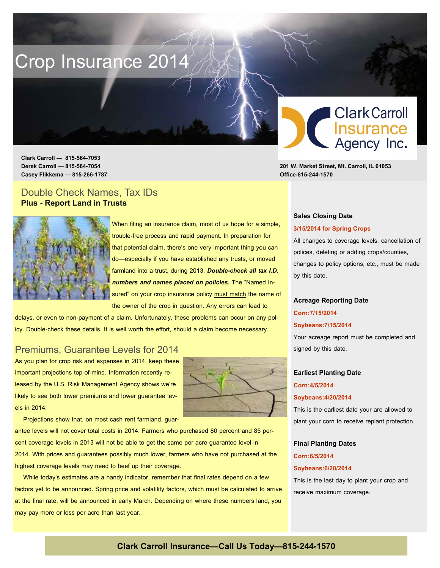# Crop Insurance 2014

 **Clark Carroll — 815-564-7053 Derek Carroll — 815-564-7054 201 W. Market Street, Mt. Carroll, IL 61053 Casey Flikkema — 815-266-1787 Office-815-244-1570** 

## Double Check Names, Tax IDs **Plus - Report Land in Trusts**



When filing an insurance claim, most of us hope for a simple, trouble-free process and rapid payment. In preparation for that potential claim, there's one very important thing you can do—especially if you have established any trusts, or moved farmland into a trust, during 2013. *Double-check all tax I.D. numbers and names placed on policies.* The "Named Insured" on your crop insurance policy must match the name of the owner of the crop in question. Any errors can lead to

It's time to prepare for the 2014 growing season, and Peterson Insurance is here to help. Let's get ready

for the 2014 season -- together. Call today to set up your consultation.

delays, or even to non-payment of a claim. Unfortunately, these problems can occur on any policy. Double-check these details. It is well worth the effort, should a claim become necessary.

## Premiums, Guarantee Levels for 2014

As you plan for crop risk and expenses in 2014, keep these important projections top-of-mind. Information recently released by the U.S. Risk Management Agency shows we're likely to see both lower premiums and lower quarantee levels in 2014.



Projections show that, on most cash rent farmland, guar-

antee levels will not cover total costs in 2014. Farmers who purchased 80 percent and 85 percent coverage levels in 2013 will not be able to get the same per acre guarantee level in 2014. With prices and guarantees possibly much lower, farmers who have not purchased at the highest coverage levels may need to beef up their coverage.

 While today's estimates are a handy indicator, remember that final rates depend on a few factors yet to be announced. Spring price and volatility factors, which must be calculated to arrive at the final rate, will be announced in early March. Depending on where these numbers land, you may pay more or less per acre than last year.



#### **Sales Closing Date**

#### **3/15/2014 for Spring Crops**

All changes to coverage levels, cancellation of polices, deleting or adding crops/counties, changes to policy options, etc., must be made by this date.

#### **Acreage Reporting Date**

#### **Corn:7/15/2014**

#### **Soybeans:7/15/2014**

Your acreage report must be completed and signed by this date.

## **Earliest Planting Date**

### **Corn:4/5/2014**

#### **Soybeans:4/20/2014**

This is the earliest date your are allowed to plant your corn to receive replant protection.

# **Final Planting Dates**

## **Corn:6/5/2014**

#### **Soybeans:6/20/2014**

This is the last day to plant your crop and receive maximum coverage.

## **Clark Carroll Insurance—Call Us Today—815-244-1570**